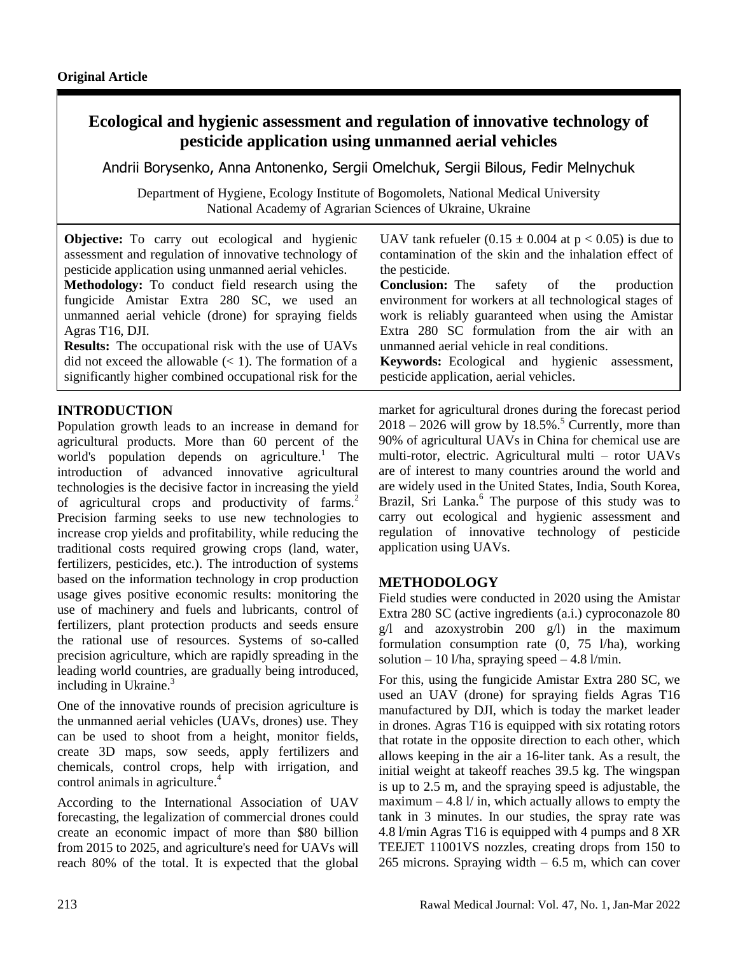# **Ecological and hygienic assessment and regulation of innovative technology of pesticide application using unmanned aerial vehicles**

Andrii Borysenko, Anna Antonenko, Sergii Omelchuk, Sergii Bilous, Fedir Melnychuk

Department of Hygiene, Ecology Institute of Bogomolets, National Medical University National Academy of Agrarian Sciences of Ukraine, Ukraine

**Objective:** To carry out ecological and hygienic assessment and regulation of innovative technology of pesticide application using unmanned aerial vehicles.

**Methodology:** To conduct field research using the fungicide Amistar Extra 280 SC, we used an unmanned aerial vehicle (drone) for spraying fields Agras T16, DJI.

**Results:** The occupational risk with the use of UAVs did not exceed the allowable  $(< 1)$ . The formation of a significantly higher combined occupational risk for the

## **INTRODUCTION**

Population growth leads to an increase in demand for agricultural products. More than 60 percent of the world's population depends on agriculture[.](#page-3-0)<sup>1</sup> The introduction of advanced innovative agricultural technologies is the decisive factor in increasing the yield of agricultural crops and productivity of farms[.](#page-3-1)<sup>2</sup> Precision farming seeks to use new technologies to increase crop yields and profitability, while reducing the traditional costs required growing crops (land, water, fertilizers, pesticides, etc.). The introduction of systems based on the information technology in crop production usage gives positive economic results: monitoring the use of machinery and fuels and lubricants, control of fertilizers, plant protection products and seeds ensure the rational use of resources. Systems of so-called precision agriculture, which are rapidly spreading in the leading world countries, are gradually being introduced, including in Ukraine[.](#page-3-2) $3$ 

One of the innovative rounds of precision agriculture is the unmanned aerial vehicles (UAVs, drones) use. They can be used to shoot from a height, monitor fields, create 3D maps, sow seeds, apply fertilizers and chemicals, control crops, help with irrigation, and control animals in agriculture[.](#page-3-3)<sup>4</sup>

According to the International Association of UAV forecasting, the legalization of commercial drones could create an economic impact of more than \$80 billion from 2015 to 2025, and agriculture's need for UAVs will reach 80% of the total. It is expected that the global

UAV tank refueler  $(0.15 \pm 0.004$  at  $p < 0.05$ ) is due to contamination of the skin and the inhalation effect of the pesticide.

**Conclusion:** The safety of the production environment for workers at all technological stages of work is reliably guaranteed when using the Amistar Extra 280 SC formulation from the air with an unmanned aerial vehicle in real conditions.

**Keywords:** Ecological and hygienic assessment, pesticide application, aerial vehicles.

market for agricultural drones during the forecast period  $2018 - 2026$  will grow by 18[.](#page-3-4)5%.<sup>5</sup> Currently, more than 90% of agricultural UAVs in China for chemical use are multi-rotor, electric. Agricultural multi – rotor UAVs are of interest to many countries around the world and are widely used in the United States, India, South Korea, Brazil, Sri Lanka[.](#page-3-5) $6$  The purpose of this study was to carry out ecological and hygienic assessment and regulation of innovative technology of pesticide application using UAVs.

### **METHODOLOGY**

Field studies were conducted in 2020 using the Amistar Extra 280 SC (active ingredients (a.i.) cyproconazole 80 g/l and azoxystrobin 200 g/l) in the maximum formulation consumption rate (0, 75 l/ha), working solution – 10 l/ha, spraying speed – 4.8 l/min.

For this, using the fungicide Amistar Extra 280 SC, we used an UAV (drone) for spraying fields Agras T16 manufactured by DJI, which is today the market leader in drones. Agras T16 is equipped with six rotating rotors that rotate in the opposite direction to each other, which allows keeping in the air a 16-liter tank. As a result, the initial weight at takeoff reaches 39.5 kg. The wingspan is up to 2.5 m, and the spraying speed is adjustable, the maximum  $-4.8$  l/ in, which actually allows to empty the tank in 3 minutes. In our studies, the spray rate was 4.8 l/min Agras T16 is equipped with 4 pumps and 8 XR TEEJET 11001VS nozzles, creating drops from 150 to 265 microns. Spraying width  $-6.5$  m, which can cover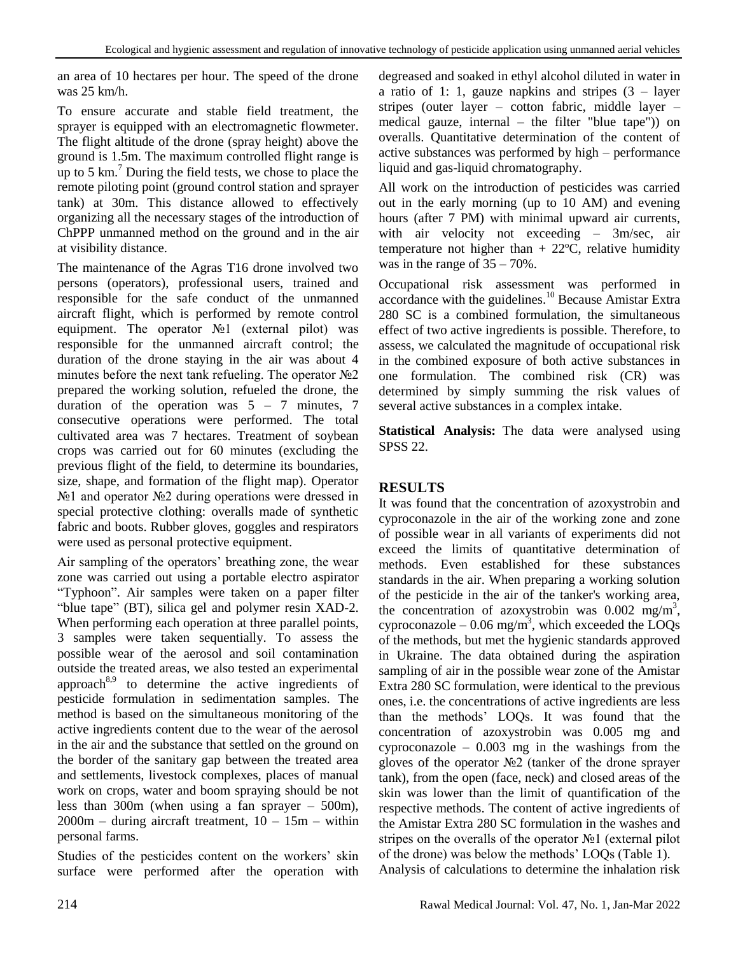an area of 10 hectares per hour. The speed of the drone was 25 km/h.

To ensure accurate and stable field treatment, the sprayer is equipped with an electromagnetic flowmeter. The flight altitude of the drone (spray height) above the ground is 1.5m. The maximum controlled flight range is up to 5 km.[7](#page-3-6) During the field tests, we chose to place the remote piloting point (ground control station and sprayer tank) at 30m. This distance allowed to effectively organizing all the necessary stages of the introduction of ChPPP unmanned method on the ground and in the air at visibility distance.

The maintenance of the Agras T16 drone involved two persons (operators), professional users, trained and responsible for the safe conduct of the unmanned aircraft flight, which is performed by remote control equipment. The operator №1 (external pilot) was responsible for the unmanned aircraft control; the duration of the drone staying in the air was about 4 minutes before the next tank refueling. The operator №2 prepared the working solution, refueled the drone, the duration of the operation was  $5 - 7$  minutes, 7 consecutive operations were performed. The total cultivated area was 7 hectares. Treatment of soybean crops was carried out for 60 minutes (excluding the previous flight of the field, to determine its boundaries, size, shape, and formation of the flight map). Operator №1 and operator №2 during operations were dressed in special protective clothing: overalls made of synthetic fabric and boots. Rubber gloves, goggles and respirators were used as personal protective equipment.

Air sampling of the operators' breathing zone, the wear zone was carried out using a portable electro aspirator "Typhoon". Air samples were taken on a paper filter "blue tape" (BT), silica gel and polymer resin XAD-2. When performing each operation at three parallel points, 3 samples were taken sequentially. To assess the possible wear of the aerosol and soil contamination outside the treated areas, we also tested an experimental approach $8.9$  $8.9$  to determine the active ingredients of pesticide formulation in sedimentation samples. The method is based on the simultaneous monitoring of the active ingredients content due to the wear of the aerosol in the air and the substance that settled on the ground on the border of the sanitary gap between the treated area and settlements, livestock complexes, places of manual work on crops, water and boom spraying should be not less than 300m (when using a fan sprayer – 500m),  $2000m -$  during aircraft treatment,  $10 - 15m -$  within personal farms.

Studies of the pesticides content on the workers' skin surface were performed after the operation with degreased and soaked in ethyl alcohol diluted in water in a ratio of 1: 1, gauze napkins and stripes  $(3 - \text{layer})$ stripes (outer layer – cotton fabric, middle layer – medical gauze, internal – the filter "blue tape")) on overalls. Quantitative determination of the content of active substances was performed by high – performance liquid and gas-liquid chromatography.

All work on the introduction of pesticides was carried out in the early morning (up to 10 AM) and evening hours (after 7 PM) with minimal upward air currents, with air velocity not exceeding – 3m/sec, air temperature not higher than  $+ 22^{\circ}$ C, relative humidity was in the range of  $35 - 70\%$ .

Occupational risk assessment was performed in accordance with the guidelines.<sup>10</sup> Because Amistar Extra 280 SC is a combined formulation, the simultaneous effect of two active ingredients is possible. Therefore, to assess, we calculated the magnitude of occupational risk in the combined exposure of both active substances in one formulation. The combined risk (CR) was determined by simply summing the risk values of several active substances in a complex intake.

**Statistical Analysis:** The data were analysed using SPSS 22.

# **RESULTS**

It was found that the concentration of azoxystrobin and cyproconazole in the air of the working zone and zone of possible wear in all variants of experiments did not exceed the limits of quantitative determination of methods. Even established for these substances standards in the air. When preparing a working solution of the pesticide in the air of the tanker's working area, the concentration of azoxystrobin was  $0.002$  mg/m<sup>3</sup>, cyproconazole  $-0.06$  mg/m<sup>3</sup>, which exceeded the LOQs of the methods, but met the hygienic standards approved in Ukraine. The data obtained during the aspiration sampling of air in the possible wear zone of the Amistar Extra 280 SC formulation, were identical to the previous ones, i.e. the concentrations of active ingredients are less than the methods' LOQs. It was found that the concentration of azoxystrobin was 0.005 mg and cyproconazole  $-0.003$  mg in the washings from the gloves of the operator №2 (tanker of the drone sprayer tank), from the open (face, neck) and closed areas of the skin was lower than the limit of quantification of the respective methods. The content of active ingredients of the Amistar Extra 280 SC formulation in the washes and stripes on the overalls of the operator №1 (external pilot of the drone) was below the methods' LOQs (Table 1). Analysis of calculations to determine the inhalation risk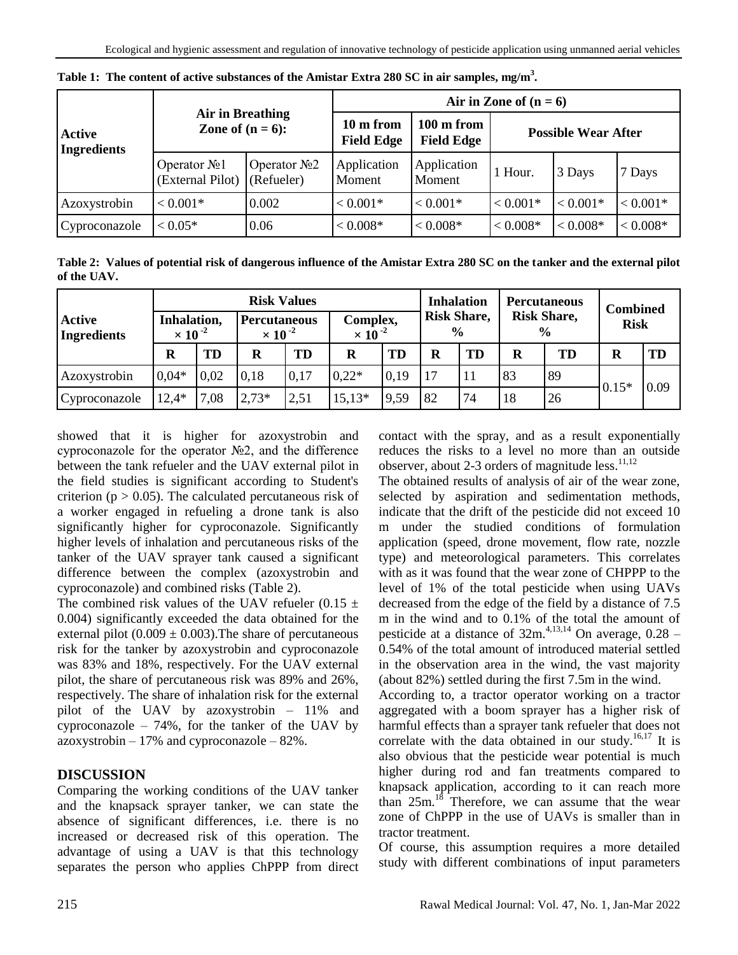| <b>Active</b><br><b>Ingredients</b> |                                                |                             | Air in Zone of $(n = 6)$       |                                 |                            |            |            |  |  |
|-------------------------------------|------------------------------------------------|-----------------------------|--------------------------------|---------------------------------|----------------------------|------------|------------|--|--|
|                                     | <b>Air in Breathing</b><br>Zone of $(n = 6)$ : |                             | 10 m from<br><b>Field Edge</b> | 100 m from<br><b>Field Edge</b> | <b>Possible Wear After</b> |            |            |  |  |
|                                     | Operator No <sub>1</sub><br>(External Pilot)   | Operator $N2$<br>(Refueler) | Application<br>Moment          | Application<br>Moment           | 1 Hour.                    | 3 Days     | 7 Days     |  |  |
| Azoxystrobin                        | $< 0.001*$                                     | 0.002                       | $< 0.001*$                     | $< 0.001*$                      | $< 0.001*$                 | $< 0.001*$ | $< 0.001*$ |  |  |
| Cyproconazole                       | $< 0.05*$                                      | 0.06                        | $< 0.008*$                     | $< 0.008*$                      | $< 0.008*$                 | $< 0.008*$ | $< 0.008*$ |  |  |

**Table 1: The content of active substances of the Amistar Extra 280 SC in air samples, mg/m<sup>3</sup> .**

**Table 2: Values of potential risk of dangerous influence of the Amistar Extra 280 SC on the tanker and the external pilot of the UAV.**

| <b>Active</b><br><b>Ingredients</b> | <b>Risk Values</b>                 |      |                                  |      |                                       | <b>Inhalation</b> |                                     | <b>Percutaneous</b> |                                     | <b>Combined</b> |             |      |
|-------------------------------------|------------------------------------|------|----------------------------------|------|---------------------------------------|-------------------|-------------------------------------|---------------------|-------------------------------------|-----------------|-------------|------|
|                                     | Inhalation,<br>$\times$ 10 $^{-2}$ |      | Percutaneous<br>$\times$ 10 $^2$ |      | Complex,<br>$\times$ 10 <sup>-2</sup> |                   | <b>Risk Share,</b><br>$\frac{6}{9}$ |                     | <b>Risk Share,</b><br>$\frac{6}{9}$ |                 | <b>Risk</b> |      |
|                                     | R                                  | TD   | R                                | TD   | R                                     | TD                | R                                   | TD                  | R                                   | TD              |             | TD   |
| Azoxystrobin                        | $0.04*$                            | 0.02 | 0.18                             | 0.17 | $0.22*$                               | 0.19              |                                     | $\mathbf{I}$        | 83                                  | 89              | $0.15*$     | 0.09 |
| Cyproconazole                       | $12.4*$                            | 7,08 | $2,73*$                          | 2,51 | $15,13*$                              | 9,59              | 82                                  | 74                  | 18                                  | 26              |             |      |

showed that it is higher for azoxystrobin and cyproconazole for the operator №2, and the difference between the tank refueler and the UAV external pilot in the field studies is significant according to Student's criterion ( $p > 0.05$ ). The calculated percutaneous risk of a worker engaged in refueling a drone tank is also significantly higher for cyproconazole. Significantly higher levels of inhalation and percutaneous risks of the tanker of the UAV sprayer tank caused a significant difference between the complex (azoxystrobin and cyproconazole) and combined risks (Table 2).

The combined risk values of the UAV refueler (0.15  $\pm$ 0.004) significantly exceeded the data obtained for the external pilot  $(0.009 \pm 0.003)$ . The share of percutaneous risk for the tanker by azoxystrobin and cyproconazole was 83% and 18%, respectively. For the UAV external pilot, the share of percutaneous risk was 89% and 26%, respectively. The share of inhalation risk for the external pilot of the UAV by azoxystrobin – 11% and cyproconazole –  $74\%$ , for the tanker of the UAV by  $a$ zoxystrobin – 17% and cyproconazole – 82%.

### **DISCUSSION**

Comparing the working conditions of the UAV tanker and the knapsack sprayer tanker, we can state the absence of significant differences, i.e. there is no increased or decreased risk of this operation. The advantage of using a UAV is that this technology separates the person who applies ChPPP from direct contact with the spray, and as a result exponentially reduces the risks to a level no more than an outside observer, about 2-3 orders of magnitude less. $^{11,12}$  $^{11,12}$  $^{11,12}$  $^{11,12}$ 

The obtained results of analysis of air of the wear zone, selected by aspiration and sedimentation methods, indicate that the drift of the pesticide did not exceed 10 m under the studied conditions of formulation application (speed, drone movement, flow rate, nozzle type) and meteorological parameters. This correlates with as it was found that the wear zone of CHPPP to the level of 1% of the total pesticide when using UAVs decreased from the edge of the field by a distance of 7.5 m in the wind and to 0.1% of the total the amount of pesticide at a distance of  $32m^{4,13,14}$  On average, 0.28 – 0.54% of the total amount of introduced material settled in the observation area in the wind, the vast majority (about 82%) settled during the first 7.5m in the wind.

According to, a tractor operator working on a tractor aggregated with a boom sprayer has a higher risk of harmful effects than a sprayer tank refueler that does not correlate with the data obtained in our study.<sup>16,17</sup> It is also obvious that the pesticide wear potential is much higher during rod and fan treatments compared to knapsack application, according to it can reach more than  $25m$ .<sup>18</sup> Therefore, we can assume that the wear zone of ChPPP in the use of UAVs is smaller than in tractor treatment.

Of course, this assumption requires a more detailed study with different combinations of input parameters